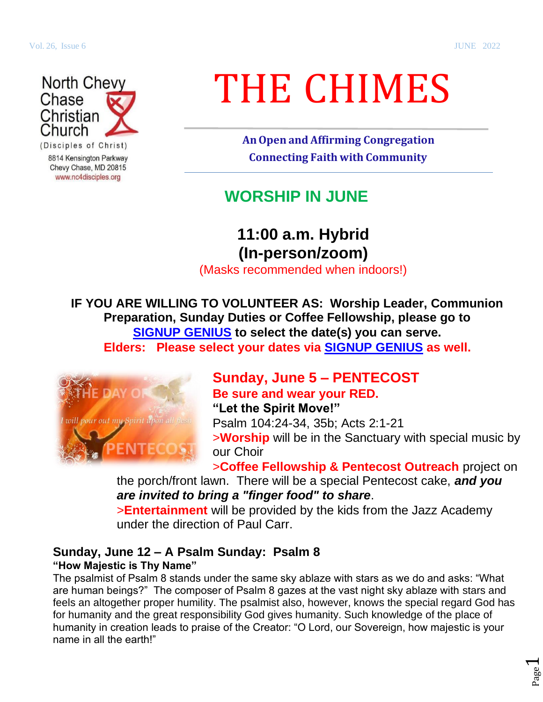Page  $\overline{\phantom{0}}$ 



8814 Kensington Parkway Chevy Chase, MD 20815 www.nc4disciples.org

# THE CHIMES

**AnOpen and Affirming Congregation Connecting Faith with Community**

# **WORSHIP IN JUNE**

# **11:00 a.m. Hybrid (In-person/zoom)**

(Masks recommended when indoors!)

**IF YOU ARE WILLING TO VOLUNTEER AS: Worship Leader, Communion Preparation, Sunday Duties or Coffee Fellowship, please go to [SIGNUP GENIUS](https://www.signupgenius.com/go/30e0d4ea4a622a7fe3-nc4elders) to select the date(s) you can serve. Elders: Please select your dates via [SIGNUP GENIUS](https://www.signupgenius.com/go/30e0d4ea4a622a7fe3-nc4elders) as well.**



### **Sunday, June 5 – PENTECOST Be sure and wear your RED.**

**"Let the Spirit Move!"**  Psalm 104:24-34, 35b; Acts 2:1-21 >**Worship** will be in the Sanctuary with special music by our Choir

>**Coffee Fellowship & Pentecost Outreach** project on

the porch/front lawn. There will be a special Pentecost cake, *and you are invited to bring a "finger food" to share*.

>**Entertainment** will be provided by the kids from the Jazz Academy under the direction of Paul Carr.

#### **Sunday, June 12 – A Psalm Sunday: Psalm 8 "How Majestic is Thy Name"**

The psalmist of Psalm 8 stands under the same sky ablaze with stars as we do and asks: "What are human beings?" The composer of Psalm 8 gazes at the vast night sky ablaze with stars and feels an altogether proper humility. The psalmist also, however, knows the special regard God has for humanity and the great responsibility God gives humanity. Such knowledge of the place of humanity in creation leads to praise of the Creator: "O Lord, our Sovereign, how majestic is your name in all the earth!"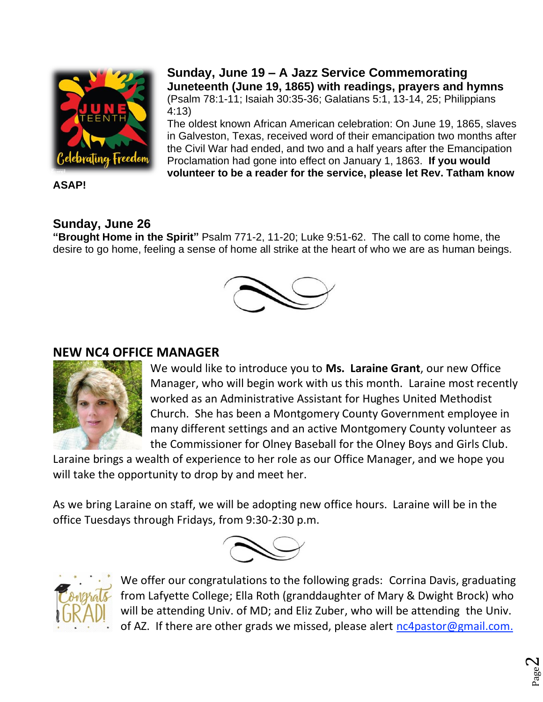

**ASAP!**

### **Sunday, June 26**

**"Brought Home in the Spirit"** Psalm 771-2, 11-20; Luke 9:51-62. The call to come home, the desire to go home, feeling a sense of home all strike at the heart of who we are as human beings.

#### **NEW NC4 OFFICE MANAGER**



We would like to introduce you to **Ms. Laraine Grant**, our new Office Manager, who will begin work with us this month. Laraine most recently worked as an Administrative Assistant for Hughes United Methodist Church. She has been a Montgomery County Government employee in many different settings and an active Montgomery County volunteer as the Commissioner for Olney Baseball for the Olney Boys and Girls Club.

Laraine brings a wealth of experience to her role as our Office Manager, and we hope you will take the opportunity to drop by and meet her.

As we bring Laraine on staff, we will be adopting new office hours. Laraine will be in the office Tuesdays through Fridays, from 9:30-2:30 p.m.





We offer our congratulations to the following grads: Corrina Davis, graduating from Lafyette College; Ella Roth (granddaughter of Mary & Dwight Brock) who will be attending Univ. of MD; and Eliz Zuber, who will be attending the Univ. of AZ. If there are other grads we missed, please alert [nc4pastor@gmail.com.](mailto:nc4pastor@gmail.com)

**Sunday, June 19 – A Jazz Service Commemorating Juneteenth (June 19, 1865) with readings, prayers and hymns** (Psalm 78:1-11; Isaiah 30:35-36; Galatians 5:1, 13-14, 25; Philippians 4:13)

The oldest known African American celebration: On June 19, 1865, slaves in Galveston, Texas, received word of their emancipation two months after the Civil War had ended, and two and a half years after the Emancipation Proclamation had gone into effect on January 1, 1863. **If you would volunteer to be a reader for the service, please let Rev. Tatham know**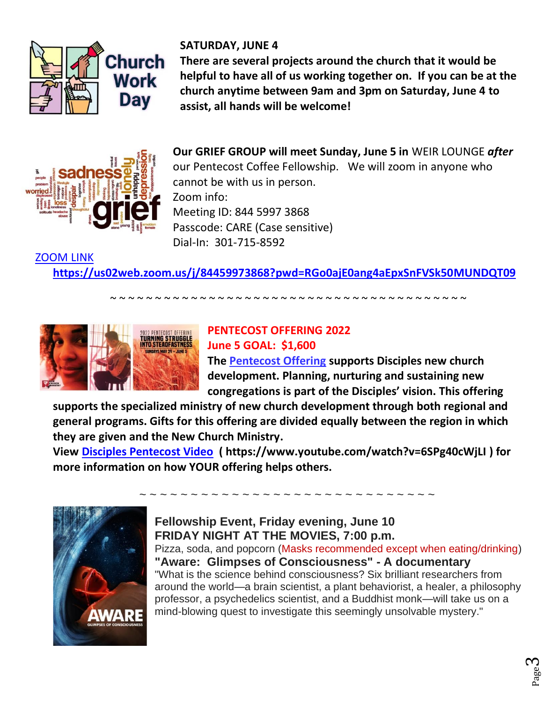

**SATURDAY, JUNE 4** 

**There are several projects around the church that it would be helpful to have all of us working together on. If you can be at the church anytime between 9am and 3pm on Saturday, June 4 to assist, all hands will be welcome!**



[ZOOM LINK](https://us02web.zoom.us/j/84459973868?pwd=RGo0ajE0ang4aEpxSnFVSk50MUNDQT09)

**Our GRIEF GROUP will meet Sunday, June 5 in** WEIR LOUNGE *after* our Pentecost Coffee Fellowship. We will zoom in anyone who cannot be with us in person. Zoom info: Meeting ID: 844 5997 3868 Passcode: CARE (Case sensitive) Dial-In: 301-715-8592

**<https://us02web.zoom.us/j/84459973868?pwd=RGo0ajE0ang4aEpxSnFVSk50MUNDQT09>**

~ ~ ~ ~ ~ ~ ~ ~ ~ ~ ~ ~ ~ ~ ~ ~ ~ ~ ~ ~ ~ ~ ~ ~ ~ ~ ~ ~ ~ ~ ~ ~ ~ ~ ~ ~ ~ ~ ~ ~



## **PENTECOST OFFERING 2022 June 5 GOAL: \$1,600**

**The [Pentecost Offering](https://disciplesmissionfund.org/give/) supports Disciples new church development. Planning, nurturing and sustaining new congregations is part of the Disciples' vision. This offering** 

**supports the specialized ministry of new church development through both regional and general programs. Gifts for this offering are divided equally between the region in which they are given and the [New Church Ministry.](https://newchurchministry.org/)**

**View [Disciples Pentecost Video](https://www.youtube.com/watch?v=6SPg40cWjLI) ( https://www.youtube.com/watch?v=6SPg40cWjLI ) for more information on how YOUR offering helps others.**



**Fellowship Event, Friday evening, June 10 FRIDAY NIGHT AT THE MOVIES, 7:00 p.m.**  Pizza, soda, and popcorn (Masks recommended except when eating/drinking) **"Aware: Glimpses of Consciousness" - A documentary**

"What is the science behind consciousness? Six brilliant researchers from around the world—a brain scientist, a plant behaviorist, a healer, a philosophy professor, a psychedelics scientist, and a Buddhist monk—will take us on a mind-blowing quest to investigate this seemingly unsolvable mystery."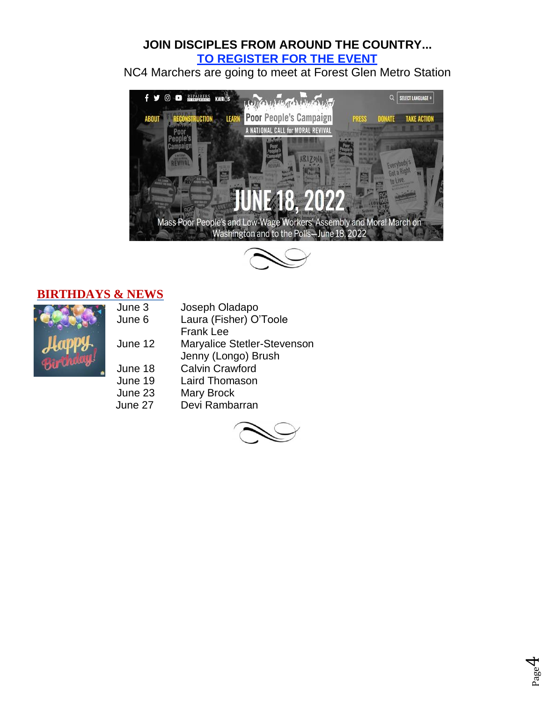#### **JOIN DISCIPLES FROM AROUND THE COUNTRY... [TO REGISTER FOR THE EVENT](https://www.poorpeoplescampaign.org/june18/)**

NC4 Marchers are going to meet at Forest Glen Metro Station





#### **BIRTHDAYS & NEWS**

| June 3  | Joseph Ola         |
|---------|--------------------|
| June 6  | Laura (Fish        |
|         | Frank Lee          |
| June 12 | Maryalice S        |
|         | Jenny (Lon         |
| June 18 | <b>Calvin Crav</b> |
| June 19 | <b>Laird Thom</b>  |
| June 23 | <b>Mary Brock</b>  |
| June 27 | Devi Ramb          |
|         |                    |

| June 3  | Joseph Oladapo              |
|---------|-----------------------------|
| June 6  | Laura (Fisher) O'Toole      |
|         | <b>Frank Lee</b>            |
| June 12 | Maryalice Stetler-Stevenson |
|         | Jenny (Longo) Brush         |
| June 18 | <b>Calvin Crawford</b>      |
| June 19 | <b>Laird Thomason</b>       |
| June 23 | Mary Brock                  |
| June 27 | Devi Rambarran              |



Page 4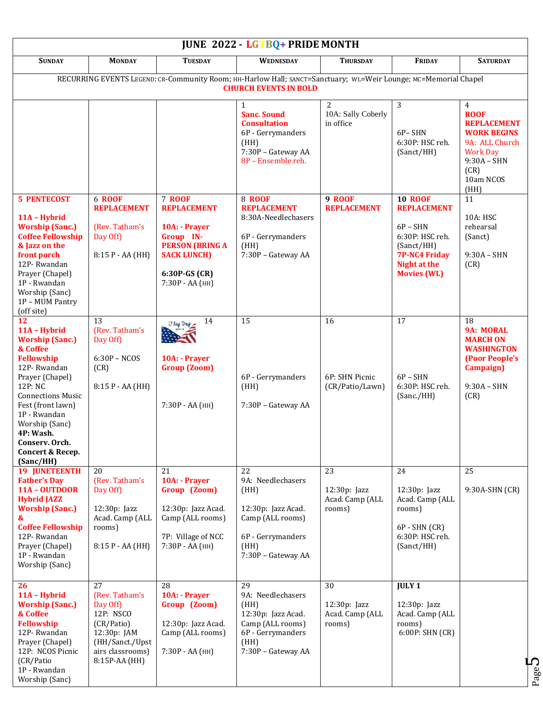| <b>JUNE 2022 - LGTBQ+ PRIDE MONTH</b>                                                                                                                                                                                                                                         |                                                                                                                                    |                                                                                                                                                       |                                                                                                                                                 |                                                   |                                                                                                                                                   |                                                                                                                                                              |  |  |  |
|-------------------------------------------------------------------------------------------------------------------------------------------------------------------------------------------------------------------------------------------------------------------------------|------------------------------------------------------------------------------------------------------------------------------------|-------------------------------------------------------------------------------------------------------------------------------------------------------|-------------------------------------------------------------------------------------------------------------------------------------------------|---------------------------------------------------|---------------------------------------------------------------------------------------------------------------------------------------------------|--------------------------------------------------------------------------------------------------------------------------------------------------------------|--|--|--|
| <b>SUNDAY</b>                                                                                                                                                                                                                                                                 | <b>MONDAY</b>                                                                                                                      | <b>TUESDAY</b>                                                                                                                                        | <b>WEDNESDAY</b>                                                                                                                                | <b>THURSDAY</b>                                   | <b>FRIDAY</b>                                                                                                                                     | <b>SATURDAY</b>                                                                                                                                              |  |  |  |
|                                                                                                                                                                                                                                                                               |                                                                                                                                    |                                                                                                                                                       | RECURRING EVENTS LEGEND: CR-Community Room; HH-Harlow Hall; SANCT=Sanctuary; WL=Weir Lounge; MC=Memorial Chapel<br><b>CHURCH EVENTS IN BOLD</b> |                                                   |                                                                                                                                                   |                                                                                                                                                              |  |  |  |
|                                                                                                                                                                                                                                                                               |                                                                                                                                    |                                                                                                                                                       | <b>Sanc. Sound</b><br><b>Consultation</b><br>6P - Gerrymanders<br>(HH)<br>7:30P - Gateway AA<br>8P - Ensemble reh.                              | 2<br>10A: Sally Coberly<br>in office              | 3<br>6P-SHN<br>6:30P: HSC reh.<br>(Sanct/HH)                                                                                                      | $\overline{4}$<br><b>ROOF</b><br><b>REPLACEMENT</b><br><b>WORK BEGINS</b><br>9A: ALL Church<br><b>Work Day</b><br>$9:30A - SHN$<br>(CR)<br>10am NCOS<br>(HH) |  |  |  |
| <b>5 PENTECOST</b><br>11A - Hybrid<br><b>Worship (Sanc.)</b><br><b>Coffee Fellowship</b><br>& Jazz on the<br>front porch<br>12P-Rwandan<br>Prayer (Chapel)<br>1P - Rwandan<br>Worship (Sanc)<br>1P - MUM Pantry<br>(off site)                                                 | <b>6 ROOF</b><br><b>REPLACEMENT</b><br>(Rev. Tatham's<br>Day Off)<br>$8:15 P - AA (HH)$                                            | <b>7 ROOF</b><br><b>REPLACEMENT</b><br>10A: - Prayer<br>Group IN-<br><b>PERSON (BRING A</b><br><b>SACK LUNCH)</b><br>6:30P-GS (CR)<br>7:30P - AA (HH) | <b>8 ROOF</b><br><b>REPLACEMENT</b><br>8:30A-Needlechasers<br>6P - Gerrymanders<br>(HH)<br>7:30P - Gateway AA                                   | <b>9 ROOF</b><br><b>REPLACEMENT</b>               | <b>10 ROOF</b><br><b>REPLACEMENT</b><br>$6P - SHN$<br>6:30P: HSC reh.<br>(Sanct/HH)<br><b>7P-NC4 Friday</b><br>Night at the<br><b>Movies (WL)</b> | 11<br>10A: HSC<br>rehearsal<br>(Sanct)<br>$9:30A - SHN$<br>(CR)                                                                                              |  |  |  |
| 12<br>11A - Hybrid<br><b>Worship (Sanc.)</b><br>& Coffee<br><b>Fellowship</b><br>12P-Rwandan<br>Prayer (Chapel)<br>12P: NC<br><b>Connections Music</b><br>Fest (front lawn)<br>1P - Rwandan<br>Worship (Sanc)<br>4P: Wash.<br>Conserv. Orch.<br>Concert & Recep.<br>(Sanc/HH) | 13<br>(Rev. Tatham's<br>Day Off)<br>$6:30P - NCOS$<br>(CR)<br>8:15 P - AA (HH)                                                     | 14<br>Flag Day<br>10A: - Prayer<br><b>Group (Zoom)</b><br>7:30Р - АА (НН)                                                                             | 15<br>6P - Gerrymanders<br>(HH)<br>7:30P - Gateway AA                                                                                           | 16<br>6P: SHN Picnic<br>(CR/Patio/Lawn)           | 17<br>$6P - SHN$<br>6:30P: HSC reh.<br>(Sanc./HH)                                                                                                 | $\overline{18}$<br>9A: MORAL<br><b>MARCH ON</b><br><b>WASHINGTON</b><br>(Poor People's<br><b>Campaign</b> )<br>$9:30A - SHN$<br>(CR)                         |  |  |  |
| <b>19 JUNETEENTH</b><br><b>Father's Day</b><br><b>11A - OUTDOOR</b><br><b>Hybrid JAZZ</b><br><b>Worship (Sanc.)</b><br>&<br><b>Coffee Fellowship</b><br>12P-Rwandan<br>Prayer (Chapel)<br>1P - Rwandan<br>Worship (Sanc)                                                      | 20<br>(Rev. Tatham's<br>Day Off)<br>12:30p: Jazz<br>Acad. Camp (ALL<br>rooms)<br>8:15 P - AA (HH)                                  | 21<br>10A: - Prayer<br>Group (Zoom)<br>12:30p: Jazz Acad.<br>Camp (ALL rooms)<br>7P: Village of NCC<br>7:30P - AA (HH)                                | 22<br>9A: Needlechasers<br>(HH)<br>12:30p: Jazz Acad.<br>Camp (ALL rooms)<br>6P - Gerrymanders<br>(HH)<br>7:30P - Gateway AA                    | 23<br>$12:30p:$ Jazz<br>Acad. Camp (ALL<br>rooms) | 24<br>12:30p: Jazz<br>Acad. Camp (ALL<br>rooms)<br>$6P - SHN (CR)$<br>6:30P: HSC reh.<br>(Sanct/HH)                                               | 25<br>9:30A-SHN (CR)                                                                                                                                         |  |  |  |
| 26<br>11A - Hybrid<br><b>Worship (Sanc.)</b><br>& Coffee<br><b>Fellowship</b><br>12P-Rwandan<br>Prayer (Chapel)<br>12P: NCOS Picnic<br>(CR/Patio)<br>1P - Rwandan<br>Worship (Sanc)                                                                                           | 27<br>(Rev. Tatham's<br>Day Off)<br>12P: NSCO<br>(CR/Patio)<br>12:30p: JAM<br>(HH/Sanct./Upst<br>airs classrooms)<br>8:15P-AA (HH) | 28<br>10A: - Prayer<br>Group (Zoom)<br>12:30p: Jazz Acad.<br>Camp (ALL rooms)<br>7:30Р - АА (НН)                                                      | 29<br>9A: Needlechasers<br>(HH)<br>12:30p: Jazz Acad.<br>Camp (ALL rooms)<br>6P - Gerrymanders<br>(HH)<br>7:30P - Gateway AA                    | 30<br>$12:30p:$ Jazz<br>Acad. Camp (ALL<br>rooms) | <b>JULY 1</b><br>12:30p: Jazz<br>Acad. Camp (ALL<br>rooms)<br>6:00P: SHN (CR)                                                                     |                                                                                                                                                              |  |  |  |

Page